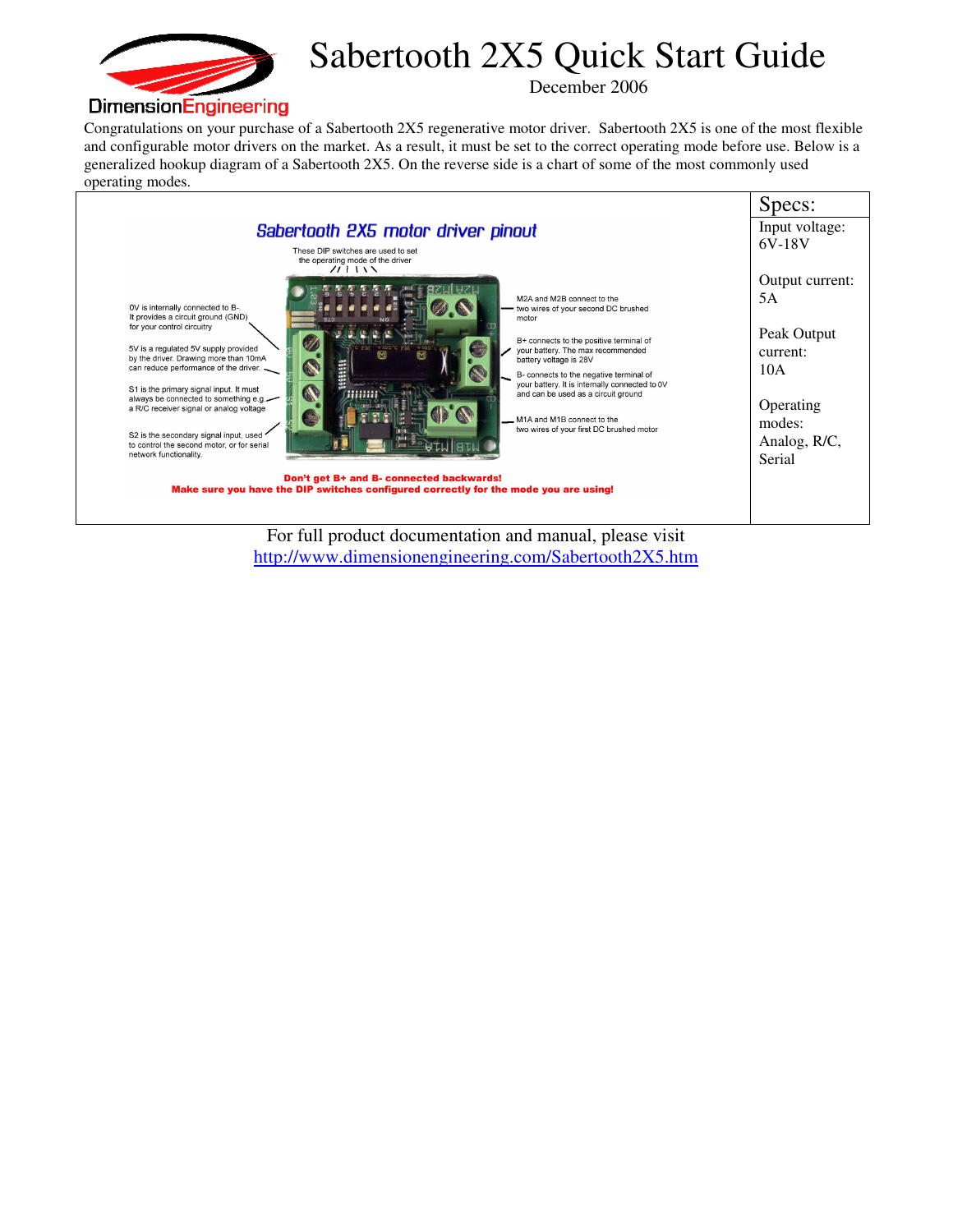

## Sabertooth 2X5 Quick Start Guide

December 2006

Congratulations on your purchase of a Sabertooth 2X5 regenerative motor driver. Sabertooth 2X5 is one of the most flexible and configurable motor drivers on the market. As a result, it must be set to the correct operating mode before use. Below is a generalized hookup diagram of a Sabertooth 2X5. On the reverse side is a chart of some of the most commonly used operating modes.



For full product documentation and manual, please visit http://www.dimensionengineering.com/Sabertooth2X5.htm